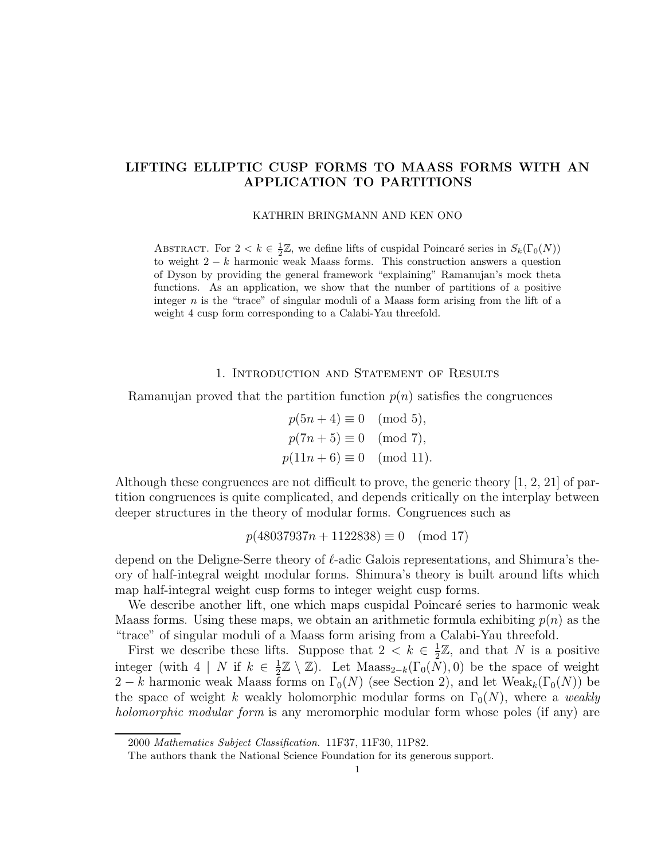# LIFTING ELLIPTIC CUSP FORMS TO MAASS FORMS WITH AN APPLICATION TO PARTITIONS

KATHRIN BRINGMANN AND KEN ONO

ABSTRACT. For  $2 < k \in \frac{1}{2}\mathbb{Z}$ , we define lifts of cuspidal Poincaré series in  $S_k(\Gamma_0(N))$ to weight  $2 - k$  harmonic weak Maass forms. This construction answers a question of Dyson by providing the general framework "explaining" Ramanujan's mock theta functions. As an application, we show that the number of partitions of a positive integer n is the "trace" of singular moduli of a Maass form arising from the lift of a weight 4 cusp form corresponding to a Calabi-Yau threefold.

### 1. Introduction and Statement of Results

Ramanujan proved that the partition function  $p(n)$  satisfies the congruences

 $p(5n+4) \equiv 0 \pmod{5}$ ,  $p(7n+5) \equiv 0 \pmod{7}$ ,  $p(11n + 6) \equiv 0 \pmod{11}$ .

Although these congruences are not difficult to prove, the generic theory [1, 2, 21] of partition congruences is quite complicated, and depends critically on the interplay between deeper structures in the theory of modular forms. Congruences such as

$$
p(48037937n + 1122838) \equiv 0 \pmod{17}
$$

depend on the Deligne-Serre theory of  $\ell$ -adic Galois representations, and Shimura's theory of half-integral weight modular forms. Shimura's theory is built around lifts which map half-integral weight cusp forms to integer weight cusp forms.

We describe another lift, one which maps cuspidal Poincaré series to harmonic weak Maass forms. Using these maps, we obtain an arithmetic formula exhibiting  $p(n)$  as the "trace" of singular moduli of a Maass form arising from a Calabi-Yau threefold.

First we describe these lifts. Suppose that  $2 < k \in \frac{1}{2}$  $\frac{1}{2}\mathbb{Z}$ , and that N is a positive integer (with  $4 \mid N$  if  $k \in \frac{1}{2}$  $\frac{1}{2}\mathbb{Z}\setminus\mathbb{Z}$ . Let Maass<sub>2−k</sub>( $\Gamma_0(N)$ , 0) be the space of weight 2 − k harmonic weak Maass forms on  $\Gamma_0(N)$  (see Section 2), and let Weak<sub>k</sub>( $\Gamma_0(N)$ ) be the space of weight k weakly holomorphic modular forms on  $\Gamma_0(N)$ , where a weakly holomorphic modular form is any meromorphic modular form whose poles (if any) are

<sup>2000</sup> Mathematics Subject Classification. 11F37, 11F30, 11P82.

The authors thank the National Science Foundation for its generous support.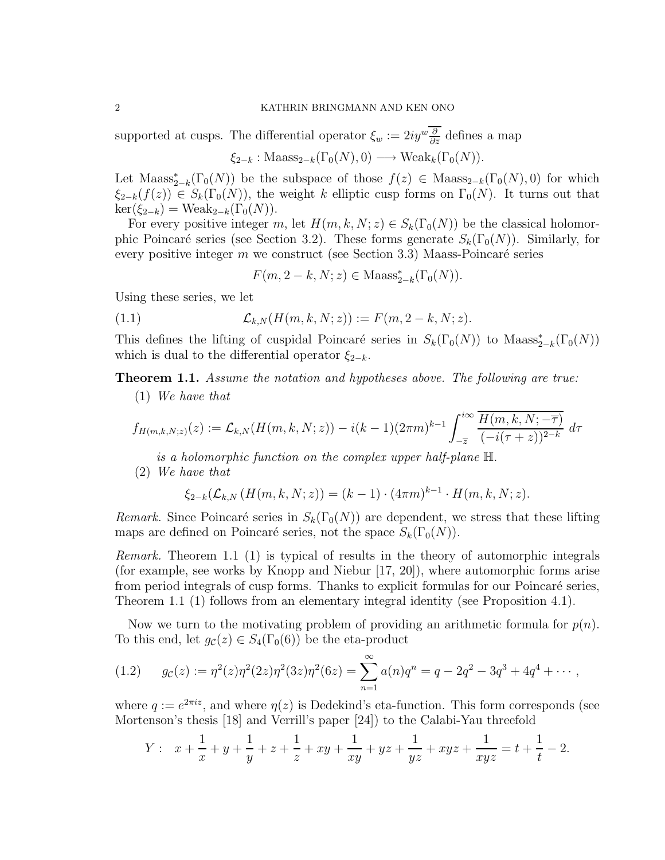### 2 KATHRIN BRINGMANN AND KEN ONO

supported at cusps. The differential operator  $\xi_w := 2iy^w \frac{\partial}{\partial \overline{z}}$  defines a map

 $\xi_{2-k}$ : Maass<sub>2−k</sub>( $\Gamma_0(N), 0$ ) → Weak<sub>k</sub>( $\Gamma_0(N)$ ).

Let  $\text{Maass}_{2-k}^*(\Gamma_0(N))$  be the subspace of those  $f(z) \in \text{Maass}_{2-k}(\Gamma_0(N),0)$  for which  $\xi_{2-k}(f(z)) \in S_k(\Gamma_0(N))$ , the weight k elliptic cusp forms on  $\Gamma_0(N)$ . It turns out that  $\ker(\xi_{2-k}) = \text{Weak}_{2-k}(\Gamma_0(N)).$ 

For every positive integer m, let  $H(m, k, N; z) \in S_k(\Gamma_0(N))$  be the classical holomorphic Poincaré series (see Section 3.2). These forms generate  $S_k(\Gamma_0(N))$ . Similarly, for every positive integer m we construct (see Section 3.3) Maass-Poincaré series

 $F(m, 2-k, N; z) \in \text{Maass}_{2-k}^*(\Gamma_0(N)).$ 

Using these series, we let

(1.1) 
$$
\mathcal{L}_{k,N}(H(m,k,N;z)) := F(m,2-k,N;z).
$$

This defines the lifting of cuspidal Poincaré series in  $S_k(\Gamma_0(N))$  to Maass<sub>2-k</sub>( $\Gamma_0(N)$ ) which is dual to the differential operator  $\xi_{2-k}$ .

Theorem 1.1. Assume the notation and hypotheses above. The following are true:

(1) We have that

$$
f_{H(m,k,N;z)}(z) := \mathcal{L}_{k,N}(H(m,k,N;z)) - i(k-1)(2\pi m)^{k-1} \int_{-\overline{z}}^{i\infty} \frac{\overline{H(m,k,N;-\overline{\tau})}}{(-i(\tau+z))^{2-k}} d\tau
$$

is a holomorphic function on the complex upper half-plane H.

(2) We have that

$$
\xi_{2-k}(\mathcal{L}_{k,N}(H(m,k,N;z)) = (k-1) \cdot (4\pi m)^{k-1} \cdot H(m,k,N;z).
$$

Remark. Since Poincaré series in  $S_k(\Gamma_0(N))$  are dependent, we stress that these lifting maps are defined on Poincaré series, not the space  $S_k(\Gamma_0(N))$ .

Remark. Theorem 1.1 (1) is typical of results in the theory of automorphic integrals (for example, see works by Knopp and Niebur [17, 20]), where automorphic forms arise from period integrals of cusp forms. Thanks to explicit formulas for our Poincaré series, Theorem 1.1 (1) follows from an elementary integral identity (see Proposition 4.1).

Now we turn to the motivating problem of providing an arithmetic formula for  $p(n)$ . To this end, let  $g_{\mathcal{C}}(z) \in S_4(\Gamma_0(6))$  be the eta-product

(1.2) 
$$
g_c(z) := \eta^2(z)\eta^2(2z)\eta^2(3z)\eta^2(6z) = \sum_{n=1}^{\infty} a(n)q^n = q - 2q^2 - 3q^3 + 4q^4 + \cdots,
$$

where  $q := e^{2\pi i z}$ , and where  $\eta(z)$  is Dedekind's eta-function. This form corresponds (see Mortenson's thesis [18] and Verrill's paper [24]) to the Calabi-Yau threefold

$$
Y: \t x + \frac{1}{x} + y + \frac{1}{y} + z + \frac{1}{z} + xy + \frac{1}{xy} + yz + \frac{1}{yz} + xyz + \frac{1}{xyz} = t + \frac{1}{t} - 2.
$$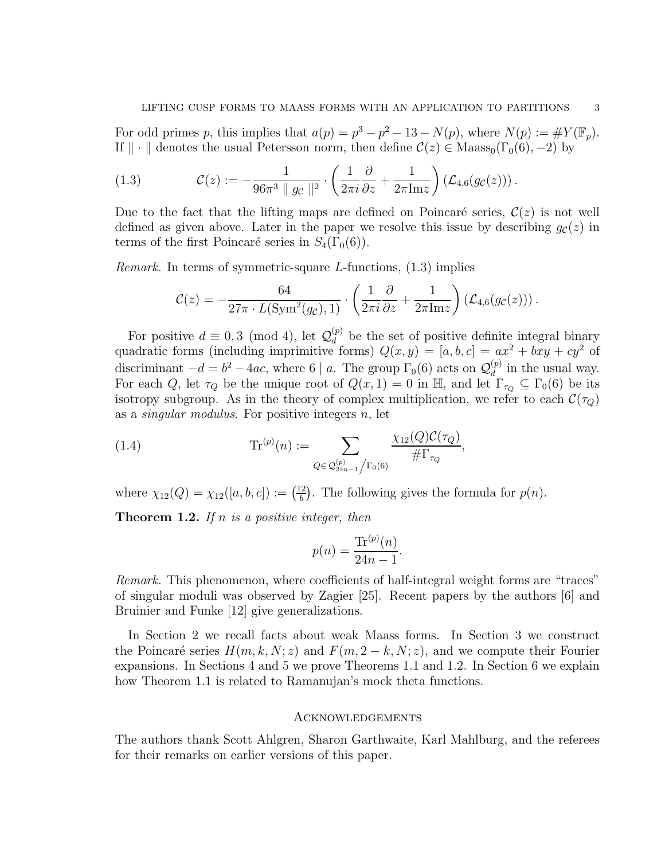For odd primes p, this implies that  $a(p) = p^3 - p^2 - 13 - N(p)$ , where  $N(p) := \#Y(\mathbb{F}_p)$ . If  $\|\cdot\|$  denotes the usual Petersson norm, then define  $\mathcal{C}(z) \in \text{Maass}_0(\Gamma_0(6), -2)$  by

(1.3) 
$$
\mathcal{C}(z) := -\frac{1}{96\pi^3 \|g_c\|^2} \cdot \left(\frac{1}{2\pi i} \frac{\partial}{\partial z} + \frac{1}{2\pi \mathrm{Im} z}\right) \left(\mathcal{L}_{4,6}(g_c(z))\right).
$$

Due to the fact that the lifting maps are defined on Poincaré series,  $\mathcal{C}(z)$  is not well defined as given above. Later in the paper we resolve this issue by describing  $g_{\mathcal{C}}(z)$  in terms of the first Poincaré series in  $S_4(\Gamma_0(6))$ .

*Remark.* In terms of symmetric-square *L*-functions,  $(1.3)$  implies

$$
\mathcal{C}(z) = -\frac{64}{27\pi \cdot L(\text{Sym}^2(g_c), 1)} \cdot \left(\frac{1}{2\pi i} \frac{\partial}{\partial z} + \frac{1}{2\pi \text{Im} z}\right) (\mathcal{L}_{4,6}(g_c(z))).
$$

For positive  $d \equiv 0, 3 \pmod{4}$ , let  $\mathcal{Q}_d^{(p)}$  $\frac{d^{(p)}}{d}$  be the set of positive definite integral binary quadratic forms (including imprimitive forms)  $Q(x, y) = [a, b, c] = ax^2 + bxy + cy^2$  of discriminant  $-d = b^2 - 4ac$ , where 6 | a. The group  $\Gamma_0(6)$  acts on  $\mathcal{Q}_d^{(p)}$  $\binom{p}{d}$  in the usual way. For each Q, let  $\tau_Q$  be the unique root of  $Q(x, 1) = 0$  in H, and let  $\Gamma_{\tau_Q} \subseteq \Gamma_0(6)$  be its isotropy subgroup. As in the theory of complex multiplication, we refer to each  $\mathcal{C}(\tau_Q)$ as a *singular modulus*. For positive integers  $n$ , let

,

(1.4) 
$$
\text{Tr}^{(p)}(n) := \sum_{Q \in \mathcal{Q}_{24n-1}^{(p)}/\Gamma_0(6)} \frac{\chi_{12}(Q)\mathcal{C}(\tau_Q)}{\# \Gamma_{\tau_Q}}
$$

where  $\chi_{12}(Q) = \chi_{12}([a, b, c]) := \left(\frac{12}{b}\right)$  $\frac{2}{b}$ . The following gives the formula for  $p(n)$ .

**Theorem 1.2.** If n is a positive integer, then

$$
p(n) = \frac{\text{Tr}^{(p)}(n)}{24n - 1}.
$$

Remark. This phenomenon, where coefficients of half-integral weight forms are "traces" of singular moduli was observed by Zagier [25]. Recent papers by the authors [6] and Bruinier and Funke [12] give generalizations.

In Section 2 we recall facts about weak Maass forms. In Section 3 we construct the Poincaré series  $H(m, k, N; z)$  and  $F(m, 2 - k, N; z)$ , and we compute their Fourier expansions. In Sections 4 and 5 we prove Theorems 1.1 and 1.2. In Section 6 we explain how Theorem 1.1 is related to Ramanujan's mock theta functions.

#### Acknowledgements

The authors thank Scott Ahlgren, Sharon Garthwaite, Karl Mahlburg, and the referees for their remarks on earlier versions of this paper.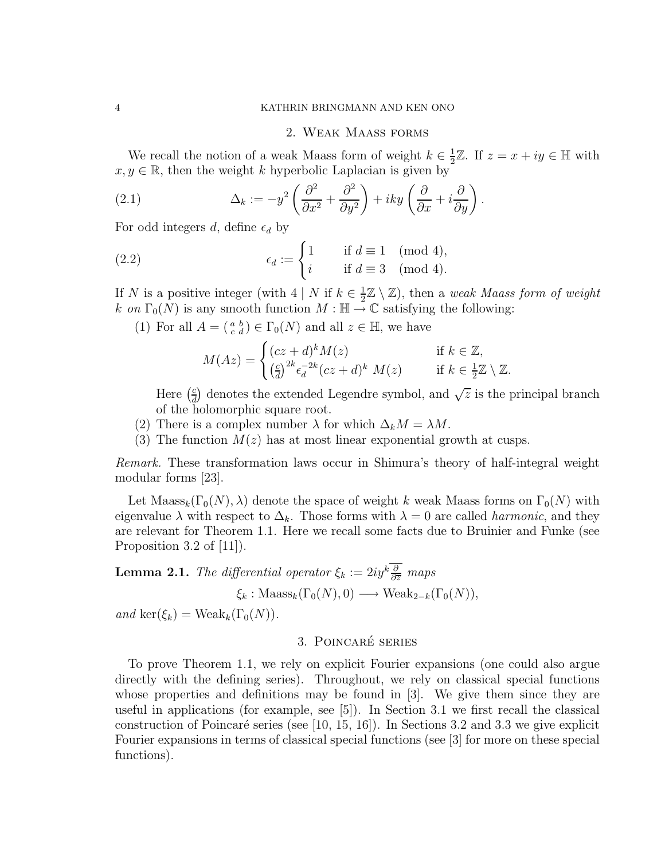### 2. Weak Maass forms

We recall the notion of a weak Maass form of weight  $k \in \frac{1}{2}$  $\frac{1}{2}\mathbb{Z}$ . If  $z = x + iy \in \mathbb{H}$  with  $x, y \in \mathbb{R}$ , then the weight k hyperbolic Laplacian is given by

(2.1) 
$$
\Delta_k := -y^2 \left( \frac{\partial^2}{\partial x^2} + \frac{\partial^2}{\partial y^2} \right) + iky \left( \frac{\partial}{\partial x} + i \frac{\partial}{\partial y} \right).
$$

For odd integers d, define  $\epsilon_d$  by

(2.2) 
$$
\epsilon_d := \begin{cases} 1 & \text{if } d \equiv 1 \pmod{4}, \\ i & \text{if } d \equiv 3 \pmod{4}. \end{cases}
$$

If N is a positive integer (with  $4 \mid N$  if  $k \in \frac{1}{2}$  $\frac{1}{2}\mathbb{Z}\setminus\mathbb{Z}$ , then a weak Maass form of weight k on  $\Gamma_0(N)$  is any smooth function  $M : \mathbb{H} \to \mathbb{C}$  satisfying the following:

(1) For all  $A = \begin{pmatrix} a & b \\ c & d \end{pmatrix} \in \Gamma_0(N)$  and all  $z \in \mathbb{H}$ , we have

$$
M(Az) = \begin{cases} (cz+d)^k M(z) & \text{if } k \in \mathbb{Z}, \\ \left(\frac{c}{d}\right)^{2k} \epsilon_d^{-2k} (cz+d)^k M(z) & \text{if } k \in \frac{1}{2}\mathbb{Z} \setminus \mathbb{Z}. \end{cases}
$$

Here  $\left(\frac{c}{d}\right)$  $\frac{c}{d}$  denotes the extended Legendre symbol, and  $\sqrt{z}$  is the principal branch of the holomorphic square root.

- (2) There is a complex number  $\lambda$  for which  $\Delta_k M = \lambda M$ .
- (3) The function  $M(z)$  has at most linear exponential growth at cusps.

Remark. These transformation laws occur in Shimura's theory of half-integral weight modular forms [23].

Let Maass<sub>k</sub>( $\Gamma_0(N), \lambda$ ) denote the space of weight k weak Maass forms on  $\Gamma_0(N)$  with eigenvalue  $\lambda$  with respect to  $\Delta_k$ . Those forms with  $\lambda = 0$  are called *harmonic*, and they are relevant for Theorem 1.1. Here we recall some facts due to Bruinier and Funke (see Proposition 3.2 of [11]).

**Lemma 2.1.** The differential operator  $\xi_k := 2iy^k \frac{\partial}{\partial \overline{z}}$  maps  $\xi_k$  : Maass<sub>k</sub>( $\Gamma_0(N)$ , 0)  $\longrightarrow$  Weak<sub>2-k</sub>( $\Gamma_0(N)$ ),

and ker $(\xi_k)$  = Weak<sub>k</sub> $(\Gamma_0(N))$ .

# 3. POINCARÉ SERIES

To prove Theorem 1.1, we rely on explicit Fourier expansions (one could also argue directly with the defining series). Throughout, we rely on classical special functions whose properties and definitions may be found in [3]. We give them since they are useful in applications (for example, see [5]). In Section 3.1 we first recall the classical construction of Poincaré series (see [10, 15, 16]). In Sections 3.2 and 3.3 we give explicit Fourier expansions in terms of classical special functions (see [3] for more on these special functions).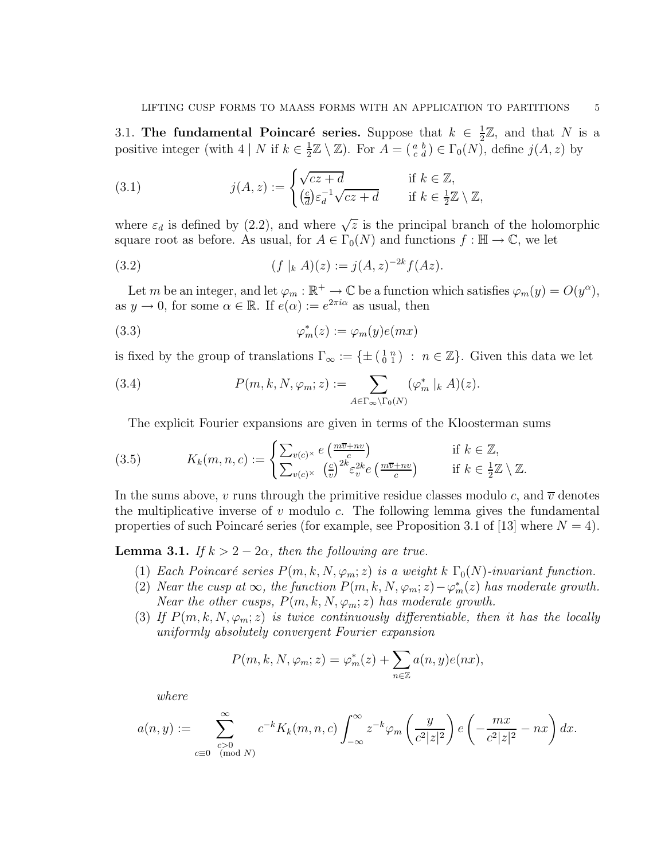3.1. The fundamental Poincaré series. Suppose that  $k \in \frac{1}{2}$  $\frac{1}{2}\mathbb{Z}$ , and that N is a positive integer (with  $4 | N$  if  $k \in \frac{1}{2}$  $\frac{1}{2}\mathbb{Z}\setminus\mathbb{Z}$ ). For  $A=(\begin{smallmatrix} a & b \\ c & d \end{smallmatrix})\in\Gamma_0(N)$ , define  $j(A, z)$  by

(3.1) 
$$
j(A, z) := \begin{cases} \sqrt{cz + d} & \text{if } k \in \mathbb{Z}, \\ \left(\frac{c}{d}\right) \varepsilon_d^{-1} \sqrt{cz + d} & \text{if } k \in \frac{1}{2}\mathbb{Z} \setminus \mathbb{Z}, \end{cases}
$$

where  $\varepsilon_d$  is defined by (2.2), and where  $\sqrt{z}$  is the principal branch of the holomorphic square root as before. As usual, for  $A \in \Gamma_0(N)$  and functions  $f : \mathbb{H} \to \mathbb{C}$ , we let

(3.2) 
$$
(f|_{k} A)(z) := j(A, z)^{-2k} f(Az).
$$

Let m be an integer, and let  $\varphi_m : \mathbb{R}^+ \to \mathbb{C}$  be a function which satisfies  $\varphi_m(y) = O(y^{\alpha}),$ as  $y \to 0$ , for some  $\alpha \in \mathbb{R}$ . If  $e(\alpha) := e^{2\pi i \alpha}$  as usual, then

(3.3) 
$$
\varphi_m^*(z) := \varphi_m(y)e(mx)
$$

is fixed by the group of translations  $\Gamma_{\infty} := \{ \pm \left( \begin{smallmatrix} 1 & n \\ 0 & 1 \end{smallmatrix} \right) : n \in \mathbb{Z} \}.$  Given this data we let

(3.4) 
$$
P(m,k,N,\varphi_m;z) := \sum_{A \in \Gamma_\infty \backslash \Gamma_0(N)} (\varphi_m^* \mid_k A)(z).
$$

The explicit Fourier expansions are given in terms of the Kloosterman sums

(3.5) 
$$
K_k(m, n, c) := \begin{cases} \sum_{v(c)^{\times}} e\left(\frac{m\overline{v} + nv}{c}\right) & \text{if } k \in \mathbb{Z},\\ \sum_{v(c)^{\times}} \left(\frac{c}{v}\right)^{2k} \varepsilon_v^{2k} e\left(\frac{m\overline{v} + nv}{c}\right) & \text{if } k \in \frac{1}{2}\mathbb{Z} \setminus \mathbb{Z}. \end{cases}
$$

In the sums above, v runs through the primitive residue classes modulo c, and  $\overline{v}$  denotes the multiplicative inverse of  $v$  modulo  $c$ . The following lemma gives the fundamental properties of such Poincaré series (for example, see Proposition 3.1 of [13] where  $N = 4$ ).

**Lemma 3.1.** If  $k > 2 - 2\alpha$ , then the following are true.

- (1) Each Poincaré series  $P(m, k, N, \varphi_m; z)$  is a weight k  $\Gamma_0(N)$ -invariant function.
- (2) Near the cusp at  $\infty$ , the function  $P(m, k, N, \varphi_m; z) \varphi_m^*(z)$  has moderate growth. Near the other cusps,  $P(m, k, N, \varphi_m; z)$  has moderate growth.
- (3) If  $P(m, k, N, \varphi_m; z)$  is twice continuously differentiable, then it has the locally uniformly absolutely convergent Fourier expansion

$$
P(m, k, N, \varphi_m; z) = \varphi_m^*(z) + \sum_{n \in \mathbb{Z}} a(n, y) e(nx),
$$

where

$$
a(n,y) := \sum_{\substack{c>0\\c\equiv 0\pmod{N}}}^{\infty} c^{-k} K_k(m,n,c) \int_{-\infty}^{\infty} z^{-k} \varphi_m\left(\frac{y}{c^2|z|^2}\right) e\left(-\frac{mx}{c^2|z|^2} - nx\right) dx.
$$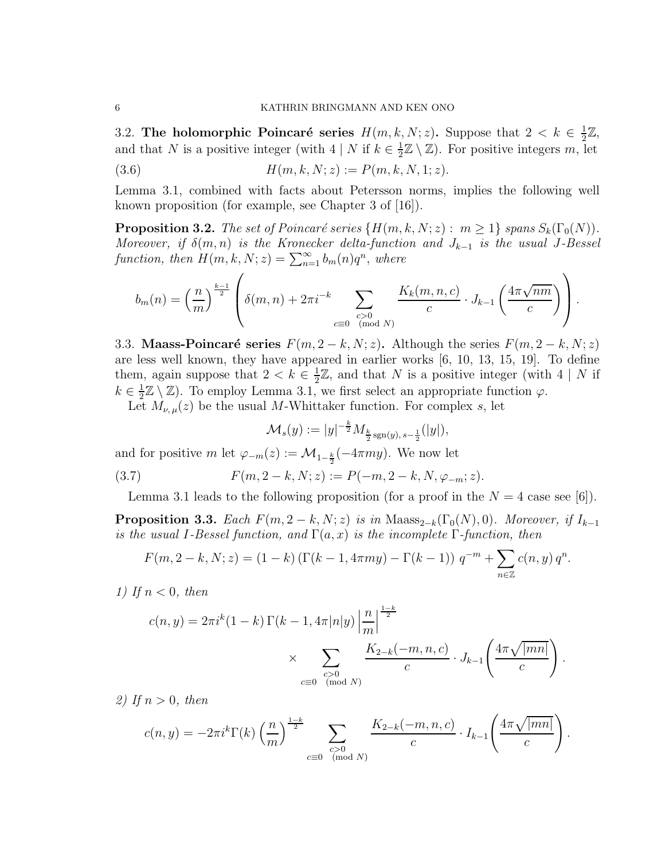3.2. The holomorphic Poincaré series  $H(m, k, N; z)$ . Suppose that  $2 < k \in \frac{1}{2}$  $\frac{1}{2}\mathbb{Z},$ and that N is a positive integer (with  $4 | N$  if  $k \in \frac{1}{2}$  $\frac{1}{2}\mathbb{Z}\setminus\mathbb{Z}$ ). For positive integers m, let

(3.6) 
$$
H(m,k,N;z) := P(m,k,N,1;z).
$$

Lemma 3.1, combined with facts about Petersson norms, implies the following well known proposition (for example, see Chapter 3 of [16]).

**Proposition 3.2.** The set of Poincaré series  $\{H(m, k, N; z) : m \ge 1\}$  spans  $S_k(\Gamma_0(N))$ . Moreover, if  $\delta(m,n)$  is the Kronecker delta-function and  $J_{k-1}$  is the usual J-Bessel function, then  $H(m, k, N; z) = \sum_{n=1}^{\infty} b_m(n)q^n$ , where

$$
b_m(n) = \left(\frac{n}{m}\right)^{\frac{k-1}{2}} \left( \delta(m,n) + 2\pi i^{-k} \sum_{\substack{c>0\\c \equiv 0 \pmod{N}}} \frac{K_k(m,n,c)}{c} \cdot J_{k-1}\left(\frac{4\pi\sqrt{nm}}{c}\right) \right).
$$

3.3. Maass-Poincaré series  $F(m, 2 - k, N; z)$ . Although the series  $F(m, 2 - k, N; z)$ are less well known, they have appeared in earlier works [6, 10, 13, 15, 19]. To define them, again suppose that  $2 < k \in \frac{1}{2}$  $\frac{1}{2}\mathbb{Z}$ , and that N is a positive integer (with 4 | N if  $k \in \frac{1}{2}$  $\frac{1}{2}\mathbb{Z}\setminus\mathbb{Z}$ . To employ Lemma 3.1, we first select an appropriate function  $\varphi$ .

Let  $M_{\nu,\mu}(z)$  be the usual M-Whittaker function. For complex s, let

$$
\mathcal{M}_s(y) := |y|^{-\frac{k}{2}} M_{\frac{k}{2} \operatorname{sgn}(y), s-\frac{1}{2}}(|y|),
$$

and for positive m let  $\varphi_{-m}(z) := \mathcal{M}_{1-\frac{k}{2}}(-4\pi my)$ . We now let

(3.7) 
$$
F(m, 2-k, N; z) := P(-m, 2-k, N, \varphi_{-m}; z).
$$

Lemma 3.1 leads to the following proposition (for a proof in the  $N = 4$  case see [6]).

**Proposition 3.3.** Each  $F(m, 2-k, N; z)$  is in Maass<sub>2-k</sub>( $\Gamma_0(N), 0$ ). Moreover, if  $I_{k-1}$ is the usual I-Bessel function, and  $\Gamma(a, x)$  is the incomplete  $\Gamma$ -function, then

$$
F(m, 2-k, N; z) = (1 - k) \left( \Gamma(k - 1, 4\pi my) - \Gamma(k - 1) \right) q^{-m} + \sum_{n \in \mathbb{Z}} c(n, y) q^n.
$$

1) If  $n < 0$ , then

$$
c(n, y) = 2\pi i^{k} (1 - k) \Gamma(k - 1, 4\pi |n|y) \left| \frac{n}{m} \right|^{\frac{1-k}{2}}
$$
  
\$\times \sum\_{\substack{c>0 \\ c \equiv 0 \pmod{N}}} \frac{K\_{2-k}(-m, n, c)}{c} \cdot J\_{k-1}\left(\frac{4\pi \sqrt{|mn|}}{c}\right)\$

.

.

2) If  $n > 0$ , then

$$
c(n,y) = -2\pi i^k \Gamma(k) \left(\frac{n}{m}\right)^{\frac{1-k}{2}} \sum_{\substack{c>0 \ \text{ (mod } N)}} \frac{K_{2-k}(-m,n,c)}{c} \cdot I_{k-1}\left(\frac{4\pi\sqrt{|mn|}}{c}\right)
$$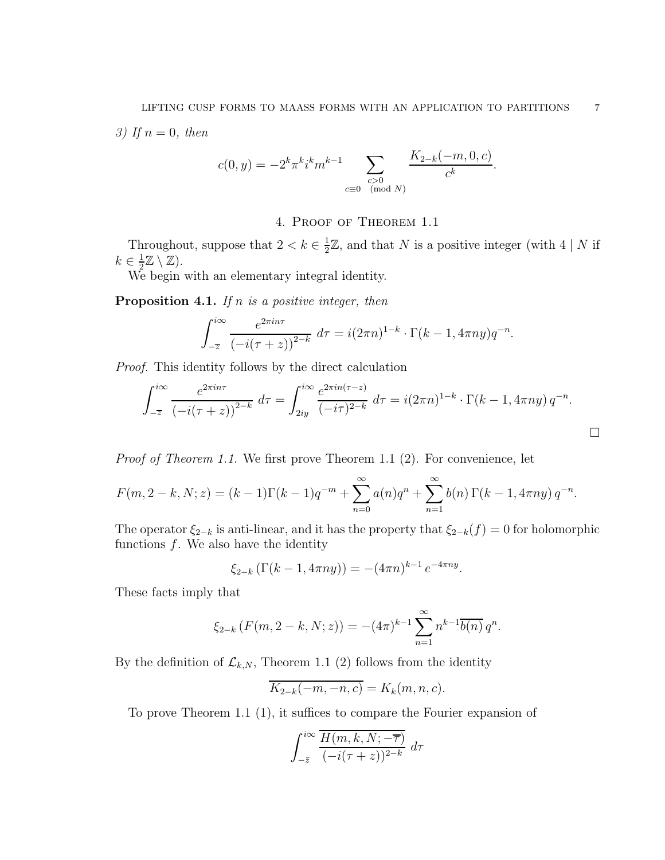3) If  $n = 0$ , then

$$
c(0, y) = -2^{k} \pi^{k} i^{k} m^{k-1} \sum_{\substack{c > 0 \\ c \equiv 0 \pmod{N}}} \frac{K_{2-k}(-m, 0, c)}{c^{k}}.
$$

## 4. Proof of Theorem 1.1

Throughout, suppose that  $2 < k \in \frac{1}{2}$  $\frac{1}{2}\mathbb{Z}$ , and that N is a positive integer (with 4 | N if  $k \in \frac{1}{2}$  $\frac{1}{2}\mathbb{Z}\setminus\mathbb{Z}$ ).

We begin with an elementary integral identity.

**Proposition 4.1.** If n is a positive integer, then

$$
\int_{-\overline{z}}^{i\infty} \frac{e^{2\pi in\tau}}{(-i(\tau+z))^{2-k}} d\tau = i(2\pi n)^{1-k} \cdot \Gamma(k-1, 4\pi n y) q^{-n}.
$$

Proof. This identity follows by the direct calculation

$$
\int_{-\overline{z}}^{i\infty} \frac{e^{2\pi in\tau}}{(-i(\tau+z))^{2-k}} d\tau = \int_{2iy}^{i\infty} \frac{e^{2\pi in(\tau-z)}}{(-i\tau)^{2-k}} d\tau = i(2\pi n)^{1-k} \cdot \Gamma(k-1, 4\pi ny) q^{-n}.
$$

Proof of Theorem 1.1. We first prove Theorem 1.1 (2). For convenience, let

$$
F(m, 2-k, N; z) = (k-1)\Gamma(k-1)q^{-m} + \sum_{n=0}^{\infty} a(n)q^{n} + \sum_{n=1}^{\infty} b(n)\Gamma(k-1, 4\pi ny) q^{-n}.
$$

The operator  $\xi_{2-k}$  is anti-linear, and it has the property that  $\xi_{2-k}(f) = 0$  for holomorphic functions  $f$ . We also have the identity

$$
\xi_{2-k} \left( \Gamma(k-1, 4\pi n y) \right) = -(4\pi n)^{k-1} e^{-4\pi n y}.
$$

These facts imply that

$$
\xi_{2-k}(F(m,2-k,N;z)) = -(4\pi)^{k-1} \sum_{n=1}^{\infty} n^{k-1} \overline{b(n)} q^n.
$$

By the definition of  $\mathcal{L}_{k,N}$ , Theorem 1.1 (2) follows from the identity

$$
\overline{K_{2-k}(-m,-n,c)} = K_k(m,n,c).
$$

To prove Theorem 1.1 (1), it suffices to compare the Fourier expansion of

$$
\int_{-\bar{z}}^{i\infty} \frac{\overline{H(m,k,N;-\overline{\tau})}}{(-i(\tau+z))^{2-k}} d\tau
$$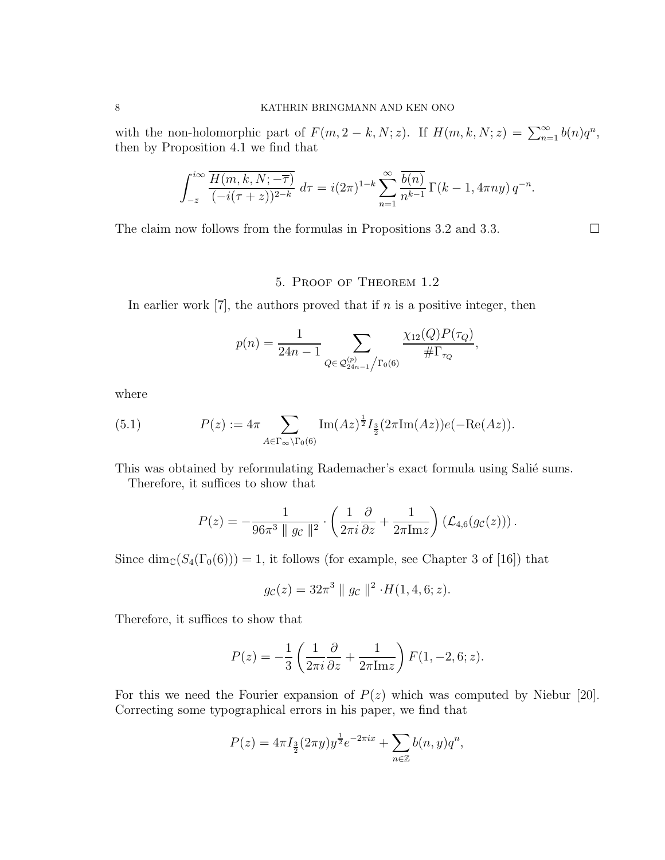with the non-holomorphic part of  $F(m, 2-k, N; z)$ . If  $H(m, k, N; z) = \sum_{n=1}^{\infty} b(n)q^n$ , then by Proposition 4.1 we find that

$$
\int_{-\bar{z}}^{i\infty} \frac{\overline{H(m,k,N;-\overline{\tau})}}{(-i(\tau+z))^{2-k}} d\tau = i(2\pi)^{1-k} \sum_{n=1}^{\infty} \frac{\overline{b(n)}}{n^{k-1}} \Gamma(k-1,4\pi ny) q^{-n}.
$$

The claim now follows from the formulas in Propositions 3.2 and 3.3.  $\Box$ 

### 5. Proof of Theorem 1.2

In earlier work  $[7]$ , the authors proved that if n is a positive integer, then

$$
p(n) = \frac{1}{24n - 1} \sum_{Q \in \mathcal{Q}_{24n-1}^{(p)}/\Gamma_0(6)} \frac{\chi_{12}(Q)P(\tau_Q)}{\# \Gamma_{\tau_Q}},
$$

where

(5.1) 
$$
P(z) := 4\pi \sum_{A \in \Gamma_{\infty} \backslash \Gamma_0(6)} \text{Im}(Az)^{\frac{1}{2}} I_{\frac{3}{2}}(2\pi \text{Im}(Az)) e(-\text{Re}(Az)).
$$

This was obtained by reformulating Rademacher's exact formula using Salié sums.

Therefore, it suffices to show that

$$
P(z) = -\frac{1}{96\pi^3 \|g_c\|^2} \cdot \left(\frac{1}{2\pi i} \frac{\partial}{\partial z} + \frac{1}{2\pi \mathrm{Im} z}\right) \left(\mathcal{L}_{4,6}(g_c(z))\right).
$$

Since  $\dim_{\mathbb{C}}(S_4(\Gamma_0(6))) = 1$ , it follows (for example, see Chapter 3 of [16]) that

$$
g_{\mathcal{C}}(z) = 32\pi^3 || g_{\mathcal{C}} ||^2 \cdot H(1, 4, 6; z).
$$

Therefore, it suffices to show that

$$
P(z) = -\frac{1}{3} \left( \frac{1}{2\pi i} \frac{\partial}{\partial z} + \frac{1}{2\pi \text{Im} z} \right) F(1, -2, 6; z).
$$

For this we need the Fourier expansion of  $P(z)$  which was computed by Niebur [20]. Correcting some typographical errors in his paper, we find that

$$
P(z) = 4\pi I_{\frac{3}{2}}(2\pi y)y^{\frac{1}{2}}e^{-2\pi ix} + \sum_{n \in \mathbb{Z}} b(n, y)q^n,
$$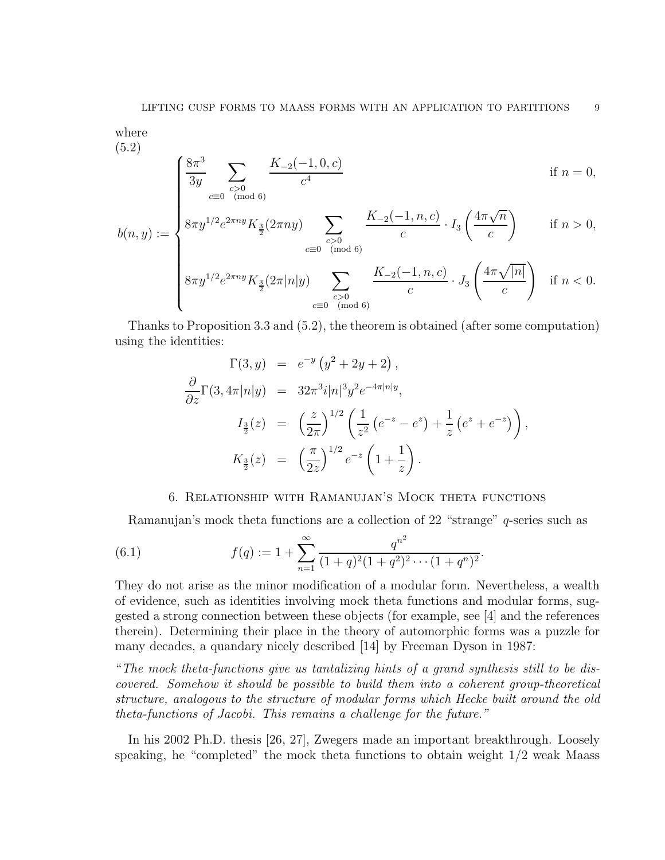where (5.2)

$$
\begin{cases} \frac{8\pi^3}{3y} \sum_{\substack{c>0\\c\equiv 0\pmod{6}}} \frac{K_{-2}(-1,0,c)}{c^4} & \text{if } n=0, \\ 8\pi y^{1/2} e^{2\pi ny} K_{\frac{3}{2}}(2\pi ny) \sum_{c} \frac{K_{-2}(-1,n,c)}{c} \cdot I_3\left(\frac{4\pi\sqrt{n}}{c}\right) & \text{if } n>0, \end{cases}
$$

$$
b(n,y) := \begin{cases} 8\pi y^{1/2} e^{2\pi ny} K_{\frac{3}{2}}(2\pi ny) & \sum_{c \ge 0 \pmod{6}} \frac{K_{-2}(-1, n, c)}{c} \cdot I_3\left(\frac{4\pi\sqrt{n}}{c}\right) & \text{if } n > 0, \\ & \sum_{c \equiv 0 \pmod{6}} \frac{K_{-2}(-1, n, c)}{c} \cdot J_3\left(\frac{4\pi\sqrt{|n|}}{c}\right) & \text{if } n < 0. \end{cases}
$$

$$
\left\{\frac{8\pi y^{1/2}e^{2\pi ny}K_{\frac{3}{2}}(2\pi|n|y)}{c=0}\sum_{\substack{c>0\\(\text{mod }6)}}\frac{1}{c}\frac{1}{c}\cdot J_3\left(\frac{1}{c}\right)^{1/2}|r|^{1/2}}{c}\right\} \text{ if } n<0.
$$

Thanks to Proposition 3.3 and (5.2), the theorem is obtained (after some computation) using the identities:

$$
\Gamma(3, y) = e^{-y} (y^2 + 2y + 2),
$$
  
\n
$$
\frac{\partial}{\partial z} \Gamma(3, 4\pi |n|y) = 32\pi^3 i |n|^3 y^2 e^{-4\pi |n|y},
$$
  
\n
$$
I_{\frac{3}{2}}(z) = \left(\frac{z}{2\pi}\right)^{1/2} \left(\frac{1}{z^2} (e^{-z} - e^z) + \frac{1}{z} (e^z + e^{-z})\right),
$$
  
\n
$$
K_{\frac{3}{2}}(z) = \left(\frac{\pi}{2z}\right)^{1/2} e^{-z} \left(1 + \frac{1}{z}\right).
$$

### 6. Relationship with Ramanujan's Mock theta functions

Ramanujan's mock theta functions are a collection of 22 "strange" q-series such as

(6.1) 
$$
f(q) := 1 + \sum_{n=1}^{\infty} \frac{q^{n^2}}{(1+q)^2(1+q^2)^2 \cdots (1+q^n)^2}.
$$

They do not arise as the minor modification of a modular form. Nevertheless, a wealth of evidence, such as identities involving mock theta functions and modular forms, suggested a strong connection between these objects (for example, see [4] and the references therein). Determining their place in the theory of automorphic forms was a puzzle for many decades, a quandary nicely described [14] by Freeman Dyson in 1987:

"The mock theta-functions give us tantalizing hints of a grand synthesis still to be discovered. Somehow it should be possible to build them into a coherent group-theoretical structure, analogous to the structure of modular forms which Hecke built around the old theta-functions of Jacobi. This remains a challenge for the future."

In his 2002 Ph.D. thesis [26, 27], Zwegers made an important breakthrough. Loosely speaking, he "completed" the mock theta functions to obtain weight  $1/2$  weak Maass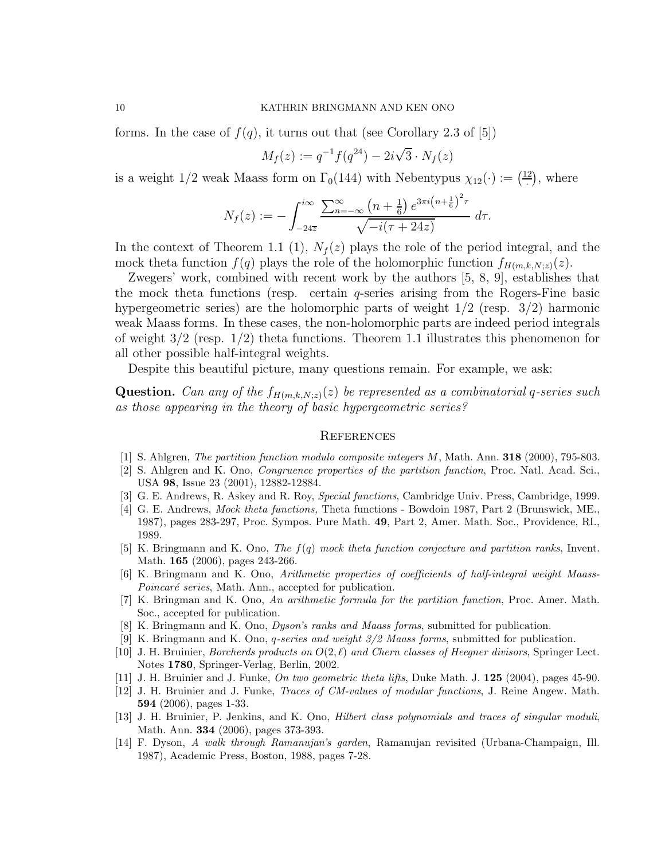forms. In the case of  $f(q)$ , it turns out that (see Corollary 2.3 of [5])

$$
M_f(z) := q^{-1} f(q^{24}) - 2i\sqrt{3} \cdot N_f(z)
$$

is a weight  $1/2$  weak Maass form on  $\Gamma_0(144)$  with Nebentypus  $\chi_{12}(\cdot) := \left(\frac{12}{3}\right)^{1/2}$  $\left(\frac{2}{n}\right)$ , where

$$
N_f(z) := -\int_{-24\overline{z}}^{i\infty} \frac{\sum_{n=-\infty}^{\infty} (n + \frac{1}{6}) e^{3\pi i (n + \frac{1}{6})^2 \tau}}{\sqrt{-i(\tau + 24z)}} d\tau.
$$

In the context of Theorem 1.1 (1),  $N_f(z)$  plays the role of the period integral, and the mock theta function  $f(q)$  plays the role of the holomorphic function  $f_{H(m,k,N;z)}(z)$ .

Zwegers' work, combined with recent work by the authors [5, 8, 9], establishes that the mock theta functions (resp. certain  $q$ -series arising from the Rogers-Fine basic hypergeometric series) are the holomorphic parts of weight  $1/2$  (resp.  $3/2$ ) harmonic weak Maass forms. In these cases, the non-holomorphic parts are indeed period integrals of weight 3/2 (resp. 1/2) theta functions. Theorem 1.1 illustrates this phenomenon for all other possible half-integral weights.

Despite this beautiful picture, many questions remain. For example, we ask:

**Question.** Can any of the  $f_{H(m,k,N;z)}(z)$  be represented as a combinatorial q-series such as those appearing in the theory of basic hypergeometric series?

#### **REFERENCES**

- [1] S. Ahlgren, The partition function modulo composite integers M, Math. Ann. 318 (2000), 795-803.
- [2] S. Ahlgren and K. Ono, Congruence properties of the partition function, Proc. Natl. Acad. Sci., USA 98, Issue 23 (2001), 12882-12884.
- [3] G. E. Andrews, R. Askey and R. Roy, Special functions, Cambridge Univ. Press, Cambridge, 1999.
- [4] G. E. Andrews, Mock theta functions, Theta functions Bowdoin 1987, Part 2 (Brunswick, ME., 1987), pages 283-297, Proc. Sympos. Pure Math. 49, Part 2, Amer. Math. Soc., Providence, RI., 1989.
- [5] K. Bringmann and K. Ono, The f(q) mock theta function conjecture and partition ranks, Invent. Math. 165 (2006), pages 243-266.
- [6] K. Bringmann and K. Ono, Arithmetic properties of coefficients of half-integral weight Maass-Poincaré series, Math. Ann., accepted for publication.
- [7] K. Bringman and K. Ono, An arithmetic formula for the partition function, Proc. Amer. Math. Soc., accepted for publication.
- [8] K. Bringmann and K. Ono, Dyson's ranks and Maass forms, submitted for publication.
- [9] K. Bringmann and K. Ono, q-series and weight 3/2 Maass forms, submitted for publication.
- [10] J. H. Bruinier, Borcherds products on  $O(2, \ell)$  and Chern classes of Heegner divisors, Springer Lect. Notes 1780, Springer-Verlag, Berlin, 2002.
- [11] J. H. Bruinier and J. Funke, On two geometric theta lifts, Duke Math. J. 125 (2004), pages 45-90.
- [12] J. H. Bruinier and J. Funke, Traces of CM-values of modular functions, J. Reine Angew. Math. 594 (2006), pages 1-33.
- [13] J. H. Bruinier, P. Jenkins, and K. Ono, *Hilbert class polynomials and traces of singular moduli*, Math. Ann. 334 (2006), pages 373-393.
- [14] F. Dyson, A walk through Ramanujan's garden, Ramanujan revisited (Urbana-Champaign, Ill. 1987), Academic Press, Boston, 1988, pages 7-28.